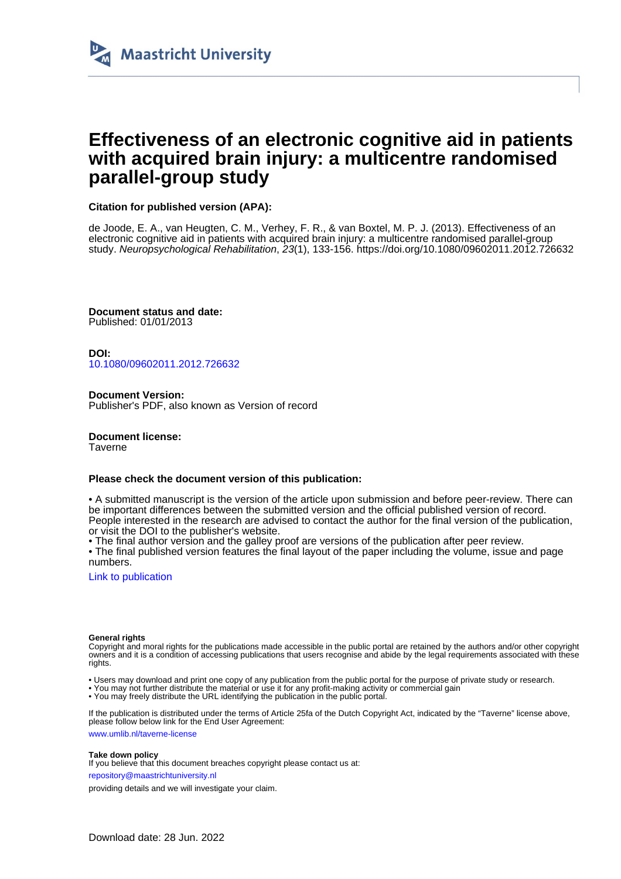

## **Effectiveness of an electronic cognitive aid in patients with acquired brain injury: a multicentre randomised parallel-group study**

#### **Citation for published version (APA):**

de Joode, E. A., van Heugten, C. M., Verhey, F. R., & van Boxtel, M. P. J. (2013). Effectiveness of an electronic cognitive aid in patients with acquired brain injury: a multicentre randomised parallel-group study. Neuropsychological Rehabilitation, 23(1), 133-156. <https://doi.org/10.1080/09602011.2012.726632>

**Document status and date:** Published: 01/01/2013

**DOI:** [10.1080/09602011.2012.726632](https://doi.org/10.1080/09602011.2012.726632)

**Document Version:** Publisher's PDF, also known as Version of record

**Document license:** Taverne

#### **Please check the document version of this publication:**

• A submitted manuscript is the version of the article upon submission and before peer-review. There can be important differences between the submitted version and the official published version of record. People interested in the research are advised to contact the author for the final version of the publication, or visit the DOI to the publisher's website.

• The final author version and the galley proof are versions of the publication after peer review.

• The final published version features the final layout of the paper including the volume, issue and page numbers.

[Link to publication](https://cris.maastrichtuniversity.nl/en/publications/09da23cf-ee20-417f-a1d2-a4cfdcd55f87)

#### **General rights**

Copyright and moral rights for the publications made accessible in the public portal are retained by the authors and/or other copyright owners and it is a condition of accessing publications that users recognise and abide by the legal requirements associated with these rights.

• Users may download and print one copy of any publication from the public portal for the purpose of private study or research.

• You may not further distribute the material or use it for any profit-making activity or commercial gain

• You may freely distribute the URL identifying the publication in the public portal.

If the publication is distributed under the terms of Article 25fa of the Dutch Copyright Act, indicated by the "Taverne" license above, please follow below link for the End User Agreement:

www.umlib.nl/taverne-license

#### **Take down policy**

If you believe that this document breaches copyright please contact us at:

repository@maastrichtuniversity.nl

providing details and we will investigate your claim.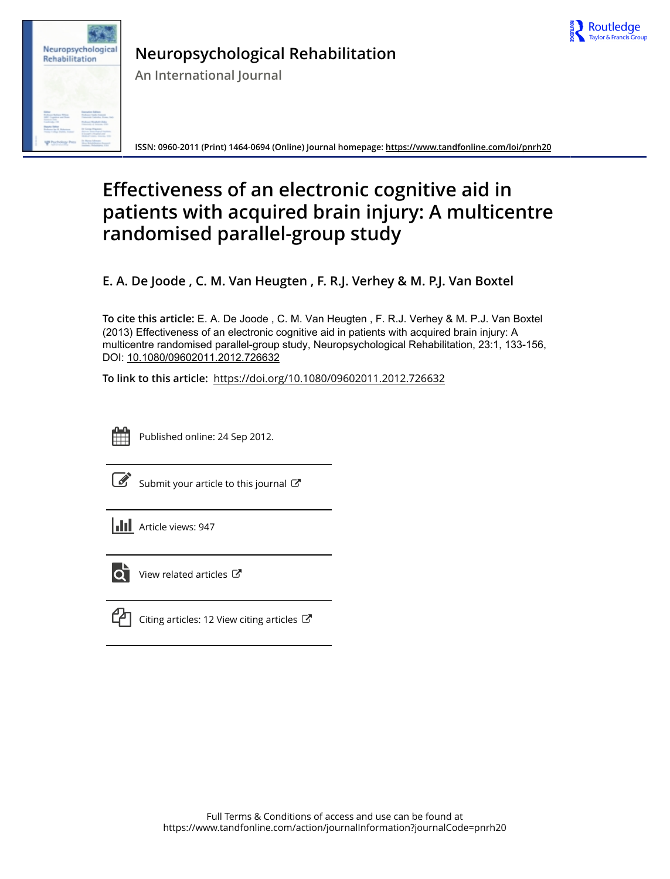

# Neuropsychologica Rehabilitation

# **Neuropsychological Rehabilitation**

**An International Journal**

**ISSN: 0960-2011 (Print) 1464-0694 (Online) Journal homepage:<https://www.tandfonline.com/loi/pnrh20>**

# **Effectiveness of an electronic cognitive aid in patients with acquired brain injury: A multicentre randomised parallel-group study**

**E. A. De Joode , C. M. Van Heugten , F. R.J. Verhey & M. P.J. Van Boxtel**

**To cite this article:** E. A. De Joode , C. M. Van Heugten , F. R.J. Verhey & M. P.J. Van Boxtel (2013) Effectiveness of an electronic cognitive aid in patients with acquired brain injury: A multicentre randomised parallel-group study, Neuropsychological Rehabilitation, 23:1, 133-156, DOI: [10.1080/09602011.2012.726632](https://www.tandfonline.com/action/showCitFormats?doi=10.1080/09602011.2012.726632)

**To link to this article:** <https://doi.org/10.1080/09602011.2012.726632>



Published online: 24 Sep 2012.

[Submit your article to this journal](https://www.tandfonline.com/action/authorSubmission?journalCode=pnrh20&show=instructions)  $\mathbb{Z}$ 





 $\overrightarrow{Q}$  [View related articles](https://www.tandfonline.com/doi/mlt/10.1080/09602011.2012.726632)  $\overrightarrow{C}$ 



[Citing articles: 12 View citing articles](https://www.tandfonline.com/doi/citedby/10.1080/09602011.2012.726632#tabModule)  $\mathbb{Z}$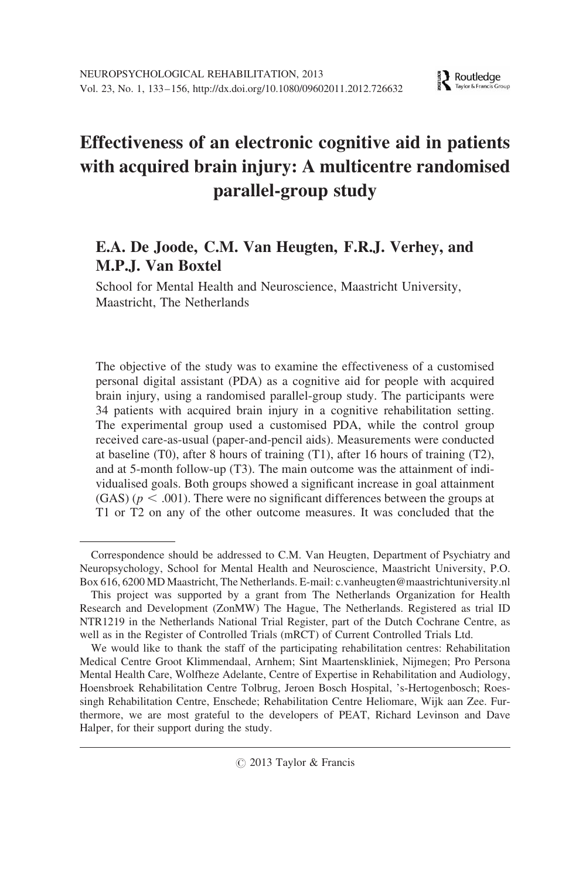

### Effectiveness of an electronic cognitive aid in patients with acquired brain injury: A multicentre randomised parallel-group study

#### E.A. De Joode, C.M. Van Heugten, F.R.J. Verhey, and M.P.J. Van Boxtel

School for Mental Health and Neuroscience, Maastricht University, Maastricht, The Netherlands

The objective of the study was to examine the effectiveness of a customised personal digital assistant (PDA) as a cognitive aid for people with acquired brain injury, using a randomised parallel-group study. The participants were 34 patients with acquired brain injury in a cognitive rehabilitation setting. The experimental group used a customised PDA, while the control group received care-as-usual (paper-and-pencil aids). Measurements were conducted at baseline (T0), after 8 hours of training (T1), after 16 hours of training (T2), and at 5-month follow-up (T3). The main outcome was the attainment of individualised goals. Both groups showed a significant increase in goal attainment  $(GAS)$  ( $p < .001$ ). There were no significant differences between the groups at T1 or T2 on any of the other outcome measures. It was concluded that the

Correspondence should be addressed to C.M. Van Heugten, Department of Psychiatry and Neuropsychology, School for Mental Health and Neuroscience, Maastricht University, P.O. Box 616, 6200 MD Maastricht, The Netherlands. E-mail: c.vanheugten@maastrichtuniversity.nl

This project was supported by a grant from The Netherlands Organization for Health Research and Development (ZonMW) The Hague, The Netherlands. Registered as trial ID NTR1219 in the Netherlands National Trial Register, part of the Dutch Cochrane Centre, as well as in the Register of Controlled Trials (mRCT) of Current Controlled Trials Ltd.

We would like to thank the staff of the participating rehabilitation centres: Rehabilitation Medical Centre Groot Klimmendaal, Arnhem; Sint Maartenskliniek, Nijmegen; Pro Persona Mental Health Care, Wolfheze Adelante, Centre of Expertise in Rehabilitation and Audiology, Hoensbroek Rehabilitation Centre Tolbrug, Jeroen Bosch Hospital, 's-Hertogenbosch; Roessingh Rehabilitation Centre, Enschede; Rehabilitation Centre Heliomare, Wijk aan Zee. Furthermore, we are most grateful to the developers of PEAT, Richard Levinson and Dave Halper, for their support during the study.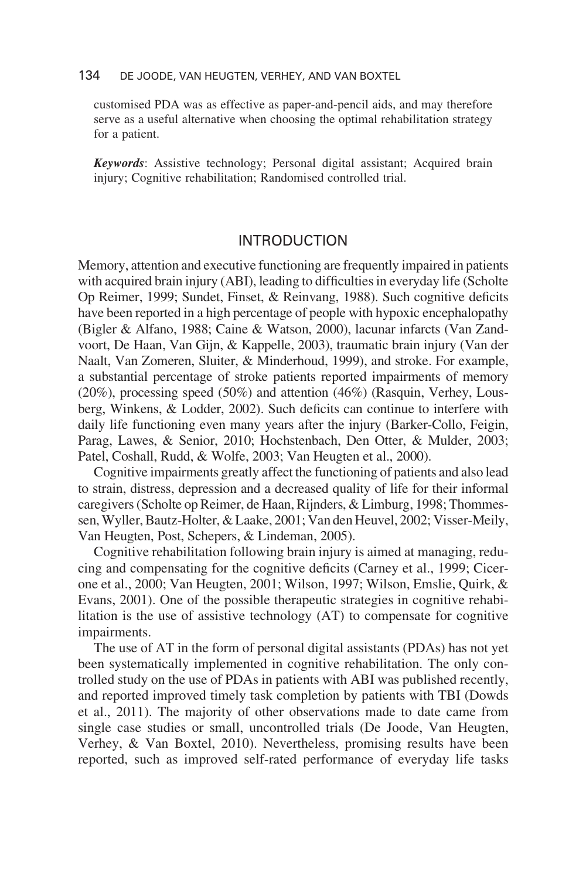customised PDA was as effective as paper-and-pencil aids, and may therefore serve as a useful alternative when choosing the optimal rehabilitation strategy for a patient.

Keywords: Assistive technology; Personal digital assistant; Acquired brain injury; Cognitive rehabilitation; Randomised controlled trial.

#### INTRODUCTION

Memory, attention and executive functioning are frequently impaired in patients with acquired brain injury (ABI), leading to difficulties in everyday life (Scholte Op Reimer, 1999; Sundet, Finset, & Reinvang, 1988). Such cognitive deficits have been reported in a high percentage of people with hypoxic encephalopathy (Bigler & Alfano, 1988; Caine & Watson, 2000), lacunar infarcts (Van Zandvoort, De Haan, Van Gijn, & Kappelle, 2003), traumatic brain injury (Van der Naalt, Van Zomeren, Sluiter, & Minderhoud, 1999), and stroke. For example, a substantial percentage of stroke patients reported impairments of memory (20%), processing speed (50%) and attention (46%) (Rasquin, Verhey, Lousberg, Winkens, & Lodder, 2002). Such deficits can continue to interfere with daily life functioning even many years after the injury (Barker-Collo, Feigin, Parag, Lawes, & Senior, 2010; Hochstenbach, Den Otter, & Mulder, 2003; Patel, Coshall, Rudd, & Wolfe, 2003; Van Heugten et al., 2000).

Cognitive impairments greatly affect the functioning of patients and also lead to strain, distress, depression and a decreased quality of life for their informal caregivers (Scholte op Reimer, de Haan, Rijnders, & Limburg, 1998; Thommessen,Wyller, Bautz-Holter, & Laake, 2001; Van den Heuvel, 2002; Visser-Meily, Van Heugten, Post, Schepers, & Lindeman, 2005).

Cognitive rehabilitation following brain injury is aimed at managing, reducing and compensating for the cognitive deficits (Carney et al., 1999; Cicerone et al., 2000; Van Heugten, 2001; Wilson, 1997; Wilson, Emslie, Quirk, & Evans, 2001). One of the possible therapeutic strategies in cognitive rehabilitation is the use of assistive technology (AT) to compensate for cognitive impairments.

The use of AT in the form of personal digital assistants (PDAs) has not yet been systematically implemented in cognitive rehabilitation. The only controlled study on the use of PDAs in patients with ABI was published recently, and reported improved timely task completion by patients with TBI (Dowds et al., 2011). The majority of other observations made to date came from single case studies or small, uncontrolled trials (De Joode, Van Heugten, Verhey, & Van Boxtel, 2010). Nevertheless, promising results have been reported, such as improved self-rated performance of everyday life tasks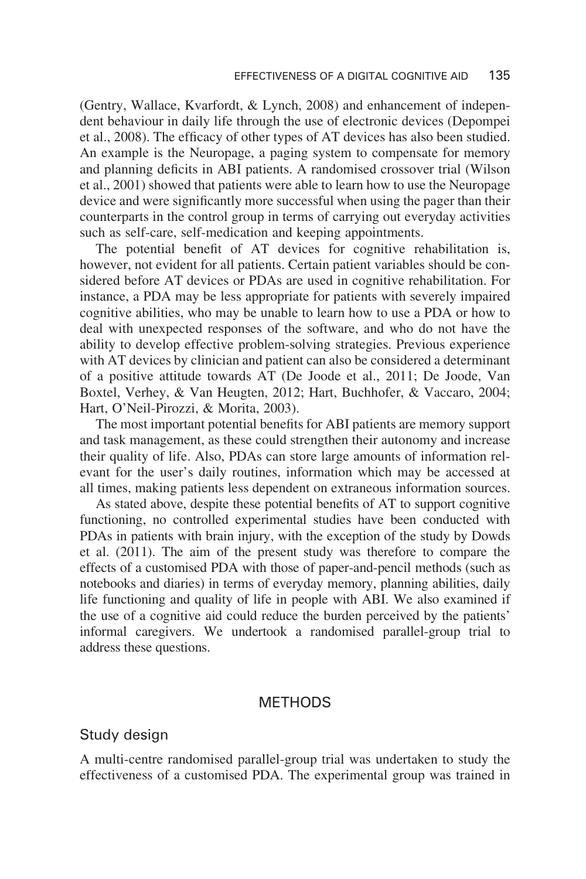(Gentry, Wallace, Kvarfordt, & Lynch, 2008) and enhancement of independent behaviour in daily life through the use of electronic devices (Depompei et al., 2008). The efficacy of other types of AT devices has also been studied. An example is the Neuropage, a paging system to compensate for memory and planning deficits in ABI patients. A randomised crossover trial (Wilson et al., 2001) showed that patients were able to learn how to use the Neuropage device and were significantly more successful when using the pager than their counterparts in the control group in terms of carrying out everyday activities such as self-care, self-medication and keeping appointments.

The potential benefit of AT devices for cognitive rehabilitation is, however, not evident for all patients. Certain patient variables should be considered before AT devices or PDAs are used in cognitive rehabilitation. For instance, a PDA may be less appropriate for patients with severely impaired cognitive abilities, who may be unable to learn how to use a PDA or how to deal with unexpected responses of the software, and who do not have the ability to develop effective problem-solving strategies. Previous experience with AT devices by clinician and patient can also be considered a determinant of a positive attitude towards AT (De Joode et al., 2011; De Joode, Van Boxtel, Verhey, & Van Heugten, 2012; Hart, Buchhofer, & Vaccaro, 2004; Hart, O'Neil-Pirozzi, & Morita, 2003).

The most important potential benefits for ABI patients are memory support and task management, as these could strengthen their autonomy and increase their quality of life. Also, PDAs can store large amounts of information relevant for the user's daily routines, information which may be accessed at all times, making patients less dependent on extraneous information sources.

As stated above, despite these potential benefits of AT to support cognitive functioning, no controlled experimental studies have been conducted with PDAs in patients with brain injury, with the exception of the study by Dowds et al. (2011). The aim of the present study was therefore to compare the effects of a customised PDA with those of paper-and-pencil methods (such as notebooks and diaries) in terms of everyday memory, planning abilities, daily life functioning and quality of life in people with ABI. We also examined if the use of a cognitive aid could reduce the burden perceived by the patients' informal caregivers. We undertook a randomised parallel-group trial to address these questions.

#### **METHODS**

#### Study design

A multi-centre randomised parallel-group trial was undertaken to study the effectiveness of a customised PDA. The experimental group was trained in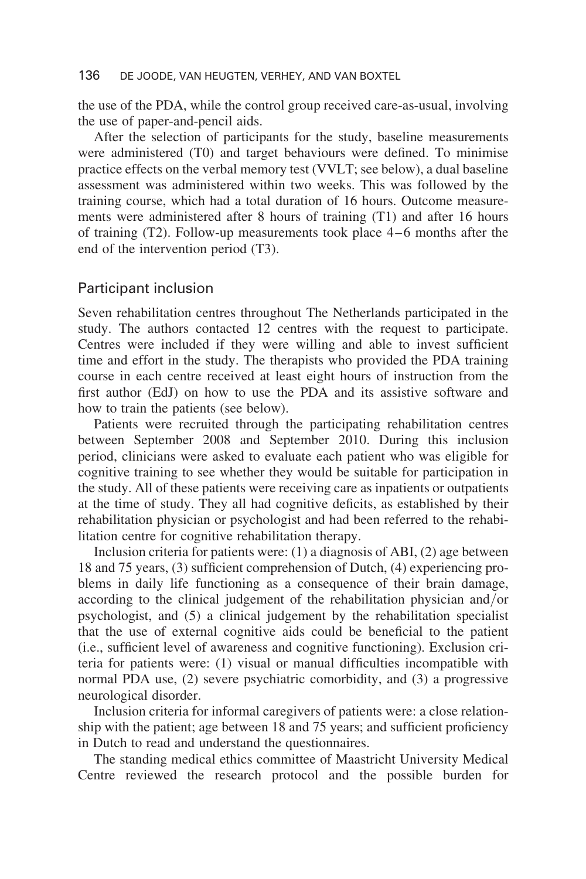the use of the PDA, while the control group received care-as-usual, involving the use of paper-and-pencil aids.

After the selection of participants for the study, baseline measurements were administered (T0) and target behaviours were defined. To minimise practice effects on the verbal memory test (VVLT; see below), a dual baseline assessment was administered within two weeks. This was followed by the training course, which had a total duration of 16 hours. Outcome measurements were administered after 8 hours of training (T1) and after 16 hours of training (T2). Follow-up measurements took place 4–6 months after the end of the intervention period (T3).

#### Participant inclusion

Seven rehabilitation centres throughout The Netherlands participated in the study. The authors contacted 12 centres with the request to participate. Centres were included if they were willing and able to invest sufficient time and effort in the study. The therapists who provided the PDA training course in each centre received at least eight hours of instruction from the first author (EdJ) on how to use the PDA and its assistive software and how to train the patients (see below).

Patients were recruited through the participating rehabilitation centres between September 2008 and September 2010. During this inclusion period, clinicians were asked to evaluate each patient who was eligible for cognitive training to see whether they would be suitable for participation in the study. All of these patients were receiving care as inpatients or outpatients at the time of study. They all had cognitive deficits, as established by their rehabilitation physician or psychologist and had been referred to the rehabilitation centre for cognitive rehabilitation therapy.

Inclusion criteria for patients were: (1) a diagnosis of ABI, (2) age between 18 and 75 years, (3) sufficient comprehension of Dutch, (4) experiencing problems in daily life functioning as a consequence of their brain damage, according to the clinical judgement of the rehabilitation physician and/or psychologist, and (5) a clinical judgement by the rehabilitation specialist that the use of external cognitive aids could be beneficial to the patient (i.e., sufficient level of awareness and cognitive functioning). Exclusion criteria for patients were: (1) visual or manual difficulties incompatible with normal PDA use, (2) severe psychiatric comorbidity, and (3) a progressive neurological disorder.

Inclusion criteria for informal caregivers of patients were: a close relationship with the patient; age between 18 and 75 years; and sufficient proficiency in Dutch to read and understand the questionnaires.

The standing medical ethics committee of Maastricht University Medical Centre reviewed the research protocol and the possible burden for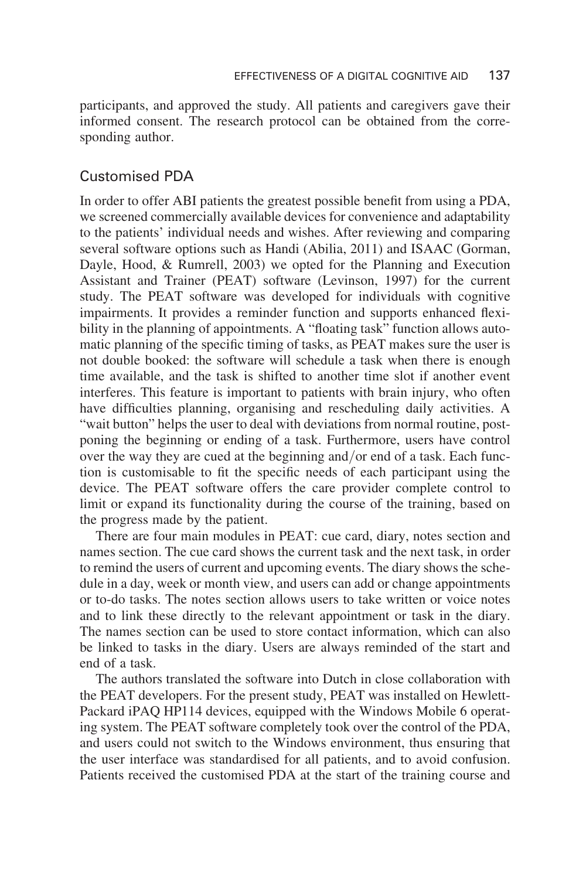participants, and approved the study. All patients and caregivers gave their informed consent. The research protocol can be obtained from the corresponding author.

#### Customised PDA

In order to offer ABI patients the greatest possible benefit from using a PDA, we screened commercially available devices for convenience and adaptability to the patients' individual needs and wishes. After reviewing and comparing several software options such as Handi (Abilia, 2011) and ISAAC (Gorman, Dayle, Hood, & Rumrell, 2003) we opted for the Planning and Execution Assistant and Trainer (PEAT) software (Levinson, 1997) for the current study. The PEAT software was developed for individuals with cognitive impairments. It provides a reminder function and supports enhanced flexibility in the planning of appointments. A "floating task" function allows automatic planning of the specific timing of tasks, as PEAT makes sure the user is not double booked: the software will schedule a task when there is enough time available, and the task is shifted to another time slot if another event interferes. This feature is important to patients with brain injury, who often have difficulties planning, organising and rescheduling daily activities. A "wait button" helps the user to deal with deviations from normal routine, postponing the beginning or ending of a task. Furthermore, users have control over the way they are cued at the beginning and/or end of a task. Each function is customisable to fit the specific needs of each participant using the device. The PEAT software offers the care provider complete control to limit or expand its functionality during the course of the training, based on the progress made by the patient.

There are four main modules in PEAT: cue card, diary, notes section and names section. The cue card shows the current task and the next task, in order to remind the users of current and upcoming events. The diary shows the schedule in a day, week or month view, and users can add or change appointments or to-do tasks. The notes section allows users to take written or voice notes and to link these directly to the relevant appointment or task in the diary. The names section can be used to store contact information, which can also be linked to tasks in the diary. Users are always reminded of the start and end of a task.

The authors translated the software into Dutch in close collaboration with the PEAT developers. For the present study, PEAT was installed on Hewlett-Packard iPAQ HP114 devices, equipped with the Windows Mobile 6 operating system. The PEAT software completely took over the control of the PDA, and users could not switch to the Windows environment, thus ensuring that the user interface was standardised for all patients, and to avoid confusion. Patients received the customised PDA at the start of the training course and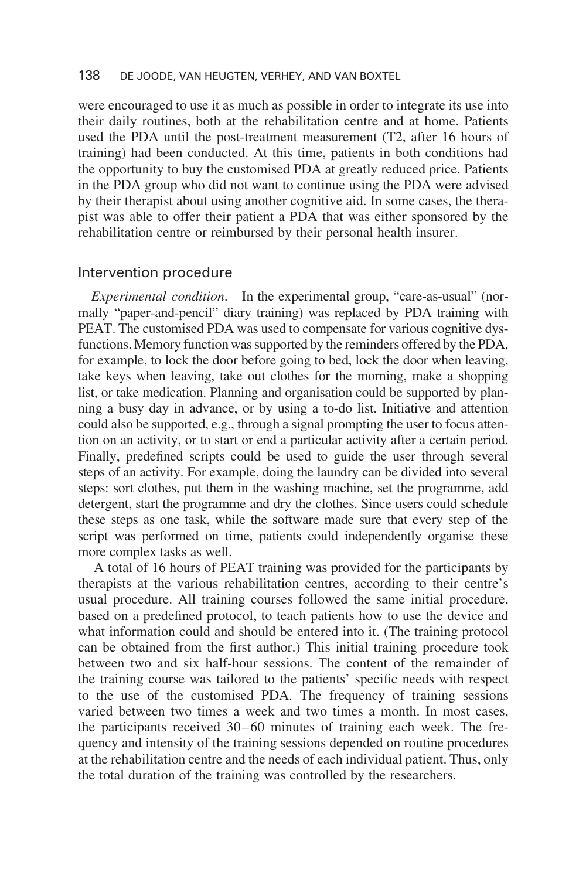were encouraged to use it as much as possible in order to integrate its use into their daily routines, both at the rehabilitation centre and at home. Patients used the PDA until the post-treatment measurement (T2, after 16 hours of training) had been conducted. At this time, patients in both conditions had the opportunity to buy the customised PDA at greatly reduced price. Patients in the PDA group who did not want to continue using the PDA were advised by their therapist about using another cognitive aid. In some cases, the therapist was able to offer their patient a PDA that was either sponsored by the rehabilitation centre or reimbursed by their personal health insurer.

#### Intervention procedure

Experimental condition. In the experimental group, "care-as-usual" (normally "paper-and-pencil" diary training) was replaced by PDA training with PEAT. The customised PDA was used to compensate for various cognitive dysfunctions. Memory function was supported by the reminders offered by the PDA, for example, to lock the door before going to bed, lock the door when leaving, take keys when leaving, take out clothes for the morning, make a shopping list, or take medication. Planning and organisation could be supported by planning a busy day in advance, or by using a to-do list. Initiative and attention could also be supported, e.g., through a signal prompting the user to focus attention on an activity, or to start or end a particular activity after a certain period. Finally, predefined scripts could be used to guide the user through several steps of an activity. For example, doing the laundry can be divided into several steps: sort clothes, put them in the washing machine, set the programme, add detergent, start the programme and dry the clothes. Since users could schedule these steps as one task, while the software made sure that every step of the script was performed on time, patients could independently organise these more complex tasks as well.

A total of 16 hours of PEAT training was provided for the participants by therapists at the various rehabilitation centres, according to their centre's usual procedure. All training courses followed the same initial procedure, based on a predefined protocol, to teach patients how to use the device and what information could and should be entered into it. (The training protocol can be obtained from the first author.) This initial training procedure took between two and six half-hour sessions. The content of the remainder of the training course was tailored to the patients' specific needs with respect to the use of the customised PDA. The frequency of training sessions varied between two times a week and two times a month. In most cases, the participants received 30 –60 minutes of training each week. The frequency and intensity of the training sessions depended on routine procedures at the rehabilitation centre and the needs of each individual patient. Thus, only the total duration of the training was controlled by the researchers.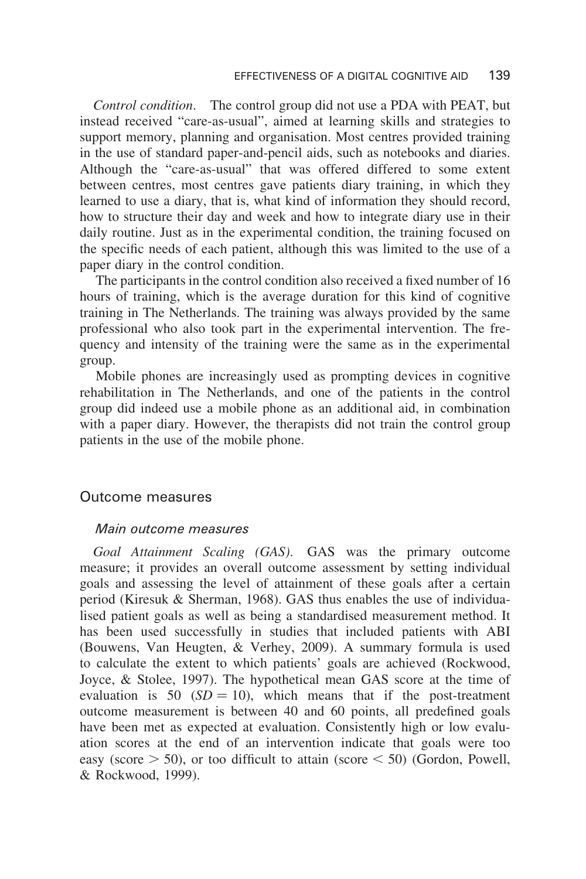Control condition. The control group did not use a PDA with PEAT, but instead received "care-as-usual", aimed at learning skills and strategies to support memory, planning and organisation. Most centres provided training in the use of standard paper-and-pencil aids, such as notebooks and diaries. Although the "care-as-usual" that was offered differed to some extent between centres, most centres gave patients diary training, in which they learned to use a diary, that is, what kind of information they should record, how to structure their day and week and how to integrate diary use in their daily routine. Just as in the experimental condition, the training focused on the specific needs of each patient, although this was limited to the use of a paper diary in the control condition.

The participants in the control condition also received a fixed number of 16 hours of training, which is the average duration for this kind of cognitive training in The Netherlands. The training was always provided by the same professional who also took part in the experimental intervention. The frequency and intensity of the training were the same as in the experimental group.

Mobile phones are increasingly used as prompting devices in cognitive rehabilitation in The Netherlands, and one of the patients in the control group did indeed use a mobile phone as an additional aid, in combination with a paper diary. However, the therapists did not train the control group patients in the use of the mobile phone.

#### Outcome measures

#### Main outcome measures

Goal Attainment Scaling (GAS). GAS was the primary outcome measure; it provides an overall outcome assessment by setting individual goals and assessing the level of attainment of these goals after a certain period (Kiresuk & Sherman, 1968). GAS thus enables the use of individualised patient goals as well as being a standardised measurement method. It has been used successfully in studies that included patients with ABI (Bouwens, Van Heugten, & Verhey, 2009). A summary formula is used to calculate the extent to which patients' goals are achieved (Rockwood, Joyce, & Stolee, 1997). The hypothetical mean GAS score at the time of evaluation is 50  $(SD = 10)$ , which means that if the post-treatment outcome measurement is between 40 and 60 points, all predefined goals have been met as expected at evaluation. Consistently high or low evaluation scores at the end of an intervention indicate that goals were too easy (score  $>$  50), or too difficult to attain (score  $<$  50) (Gordon, Powell, & Rockwood, 1999).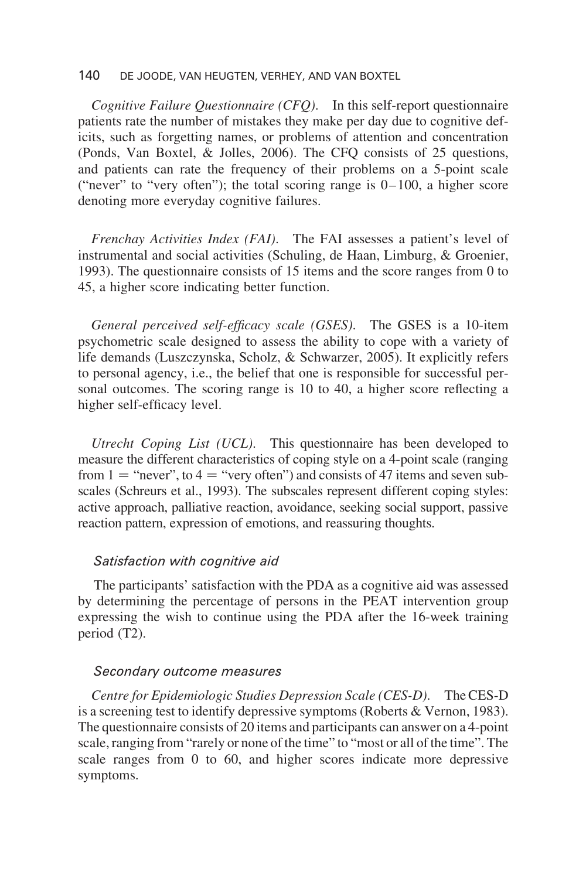Cognitive Failure Questionnaire (CFQ). In this self-report questionnaire patients rate the number of mistakes they make per day due to cognitive deficits, such as forgetting names, or problems of attention and concentration (Ponds, Van Boxtel, & Jolles, 2006). The CFQ consists of 25 questions, and patients can rate the frequency of their problems on a 5-point scale ("never" to "very often"); the total scoring range is  $0-100$ , a higher score denoting more everyday cognitive failures.

Frenchay Activities Index (FAI). The FAI assesses a patient's level of instrumental and social activities (Schuling, de Haan, Limburg, & Groenier, 1993). The questionnaire consists of 15 items and the score ranges from 0 to 45, a higher score indicating better function.

General perceived self-efficacy scale (GSES). The GSES is a 10-item psychometric scale designed to assess the ability to cope with a variety of life demands (Luszczynska, Scholz, & Schwarzer, 2005). It explicitly refers to personal agency, i.e., the belief that one is responsible for successful personal outcomes. The scoring range is 10 to 40, a higher score reflecting a higher self-efficacy level.

Utrecht Coping List (UCL). This questionnaire has been developed to measure the different characteristics of coping style on a 4-point scale (ranging from  $1 =$  "never", to  $4 =$  "very often") and consists of 47 items and seven subscales (Schreurs et al., 1993). The subscales represent different coping styles: active approach, palliative reaction, avoidance, seeking social support, passive reaction pattern, expression of emotions, and reassuring thoughts.

#### Satisfaction with cognitive aid

The participants' satisfaction with the PDA as a cognitive aid was assessed by determining the percentage of persons in the PEAT intervention group expressing the wish to continue using the PDA after the 16-week training period (T2).

#### Secondary outcome measures

Centre for Epidemiologic Studies Depression Scale (CES-D). The CES-D is a screening test to identify depressive symptoms (Roberts & Vernon, 1983). The questionnaire consists of 20 items and participants can answer on a 4-point scale, ranging from "rarely or none of the time" to "most or all of the time". The scale ranges from 0 to 60, and higher scores indicate more depressive symptoms.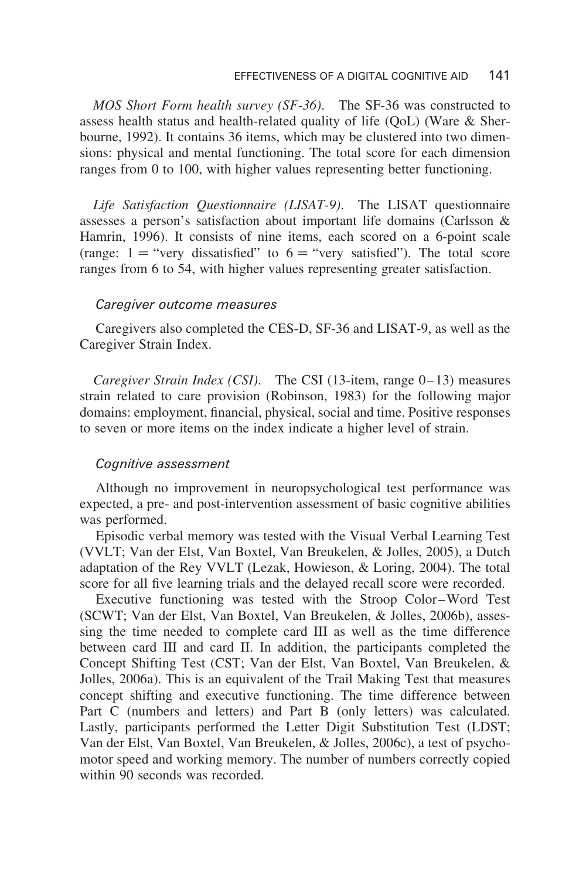MOS Short Form health survey (SF-36). The SF-36 was constructed to assess health status and health-related quality of life (QoL) (Ware & Sherbourne, 1992). It contains 36 items, which may be clustered into two dimensions: physical and mental functioning. The total score for each dimension ranges from 0 to 100, with higher values representing better functioning.

Life Satisfaction Questionnaire (LISAT-9). The LISAT questionnaire assesses a person's satisfaction about important life domains (Carlsson & Hamrin, 1996). It consists of nine items, each scored on a 6-point scale (range:  $1 =$  "very dissatisfied" to  $6 =$  "very satisfied"). The total score ranges from 6 to 54, with higher values representing greater satisfaction.

#### Caregiver outcome measures

Caregivers also completed the CES-D, SF-36 and LISAT-9, as well as the Caregiver Strain Index.

*Caregiver Strain Index (CSI).* The CSI (13-item, range  $0-13$ ) measures strain related to care provision (Robinson, 1983) for the following major domains: employment, financial, physical, social and time. Positive responses to seven or more items on the index indicate a higher level of strain.

#### Cognitive assessment

Although no improvement in neuropsychological test performance was expected, a pre- and post-intervention assessment of basic cognitive abilities was performed.

Episodic verbal memory was tested with the Visual Verbal Learning Test (VVLT; Van der Elst, Van Boxtel, Van Breukelen, & Jolles, 2005), a Dutch adaptation of the Rey VVLT (Lezak, Howieson, & Loring, 2004). The total score for all five learning trials and the delayed recall score were recorded.

Executive functioning was tested with the Stroop Color–Word Test (SCWT; Van der Elst, Van Boxtel, Van Breukelen, & Jolles, 2006b), assessing the time needed to complete card III as well as the time difference between card III and card II. In addition, the participants completed the Concept Shifting Test (CST; Van der Elst, Van Boxtel, Van Breukelen, & Jolles, 2006a). This is an equivalent of the Trail Making Test that measures concept shifting and executive functioning. The time difference between Part C (numbers and letters) and Part B (only letters) was calculated. Lastly, participants performed the Letter Digit Substitution Test (LDST; Van der Elst, Van Boxtel, Van Breukelen, & Jolles, 2006c), a test of psychomotor speed and working memory. The number of numbers correctly copied within 90 seconds was recorded.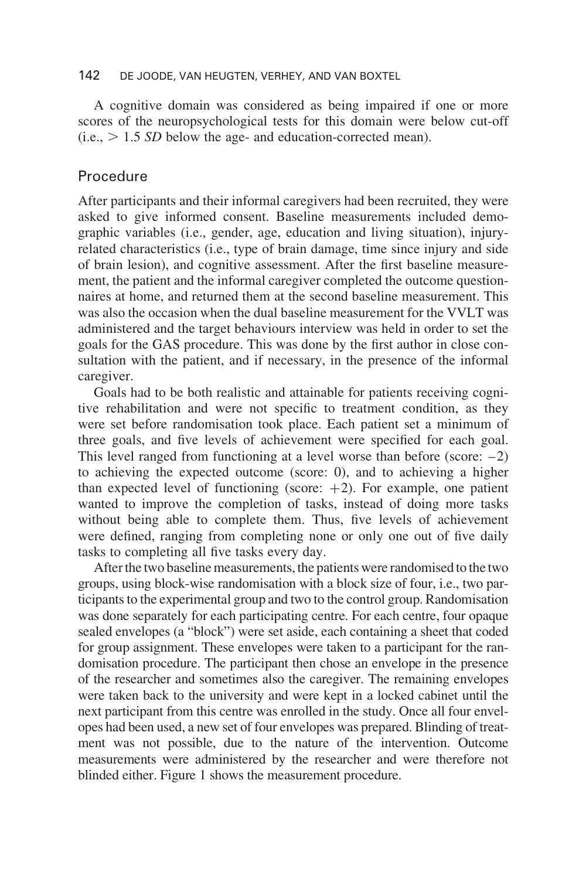A cognitive domain was considered as being impaired if one or more scores of the neuropsychological tests for this domain were below cut-off  $(i.e., > 1.5 SD$  below the age- and education-corrected mean).

#### Procedure

After participants and their informal caregivers had been recruited, they were asked to give informed consent. Baseline measurements included demographic variables (i.e., gender, age, education and living situation), injuryrelated characteristics (i.e., type of brain damage, time since injury and side of brain lesion), and cognitive assessment. After the first baseline measurement, the patient and the informal caregiver completed the outcome questionnaires at home, and returned them at the second baseline measurement. This was also the occasion when the dual baseline measurement for the VVLT was administered and the target behaviours interview was held in order to set the goals for the GAS procedure. This was done by the first author in close consultation with the patient, and if necessary, in the presence of the informal caregiver.

Goals had to be both realistic and attainable for patients receiving cognitive rehabilitation and were not specific to treatment condition, as they were set before randomisation took place. Each patient set a minimum of three goals, and five levels of achievement were specified for each goal. This level ranged from functioning at a level worse than before (score:  $-2$ ) to achieving the expected outcome (score: 0), and to achieving a higher than expected level of functioning (score:  $+2$ ). For example, one patient wanted to improve the completion of tasks, instead of doing more tasks without being able to complete them. Thus, five levels of achievement were defined, ranging from completing none or only one out of five daily tasks to completing all five tasks every day.

After the two baseline measurements, the patients were randomised to the two groups, using block-wise randomisation with a block size of four, i.e., two participants to the experimental group and two to the control group. Randomisation was done separately for each participating centre. For each centre, four opaque sealed envelopes (a "block") were set aside, each containing a sheet that coded for group assignment. These envelopes were taken to a participant for the randomisation procedure. The participant then chose an envelope in the presence of the researcher and sometimes also the caregiver. The remaining envelopes were taken back to the university and were kept in a locked cabinet until the next participant from this centre was enrolled in the study. Once all four envelopes had been used, a new set of four envelopes was prepared. Blinding of treatment was not possible, due to the nature of the intervention. Outcome measurements were administered by the researcher and were therefore not blinded either. Figure 1 shows the measurement procedure.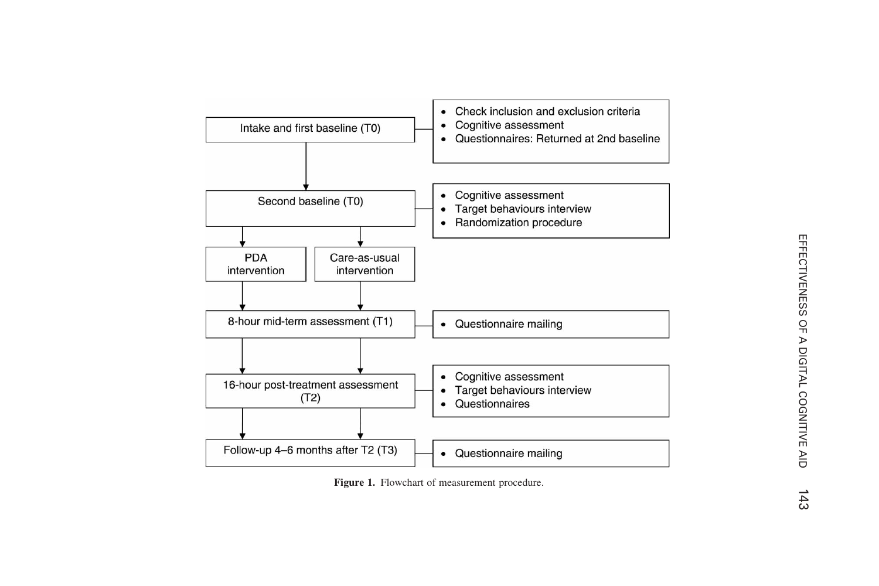

Figure 1. Flowchart of measurement procedure.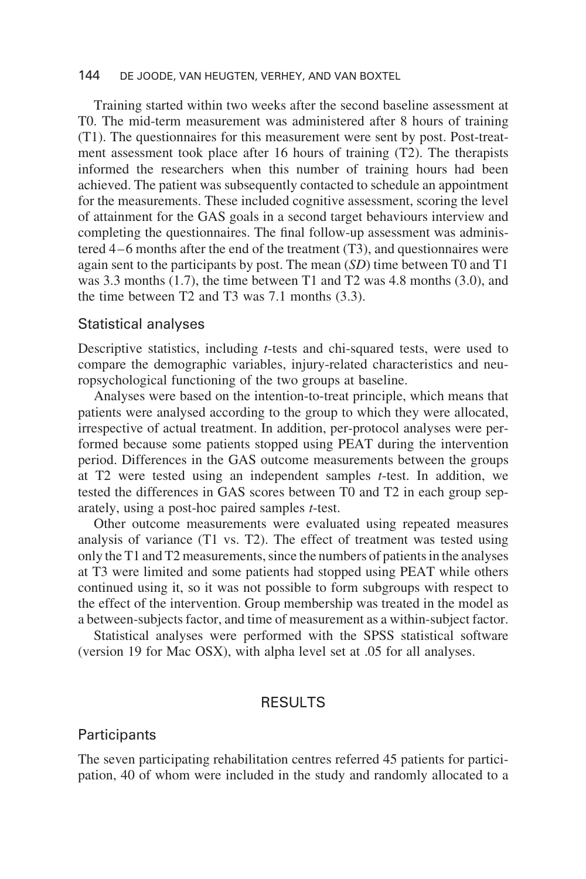Training started within two weeks after the second baseline assessment at T0. The mid-term measurement was administered after 8 hours of training (T1). The questionnaires for this measurement were sent by post. Post-treatment assessment took place after 16 hours of training (T2). The therapists informed the researchers when this number of training hours had been achieved. The patient was subsequently contacted to schedule an appointment for the measurements. These included cognitive assessment, scoring the level of attainment for the GAS goals in a second target behaviours interview and completing the questionnaires. The final follow-up assessment was administered 4–6 months after the end of the treatment (T3), and questionnaires were again sent to the participants by post. The mean  $(SD)$  time between T0 and T1 was 3.3 months (1.7), the time between T1 and T2 was 4.8 months (3.0), and the time between T2 and T3 was 7.1 months (3.3).

#### Statistical analyses

Descriptive statistics, including t-tests and chi-squared tests, were used to compare the demographic variables, injury-related characteristics and neuropsychological functioning of the two groups at baseline.

Analyses were based on the intention-to-treat principle, which means that patients were analysed according to the group to which they were allocated, irrespective of actual treatment. In addition, per-protocol analyses were performed because some patients stopped using PEAT during the intervention period. Differences in the GAS outcome measurements between the groups at T2 were tested using an independent samples t-test. In addition, we tested the differences in GAS scores between T0 and T2 in each group separately, using a post-hoc paired samples t-test.

Other outcome measurements were evaluated using repeated measures analysis of variance (T1 vs. T2). The effect of treatment was tested using only the T1 and T2 measurements, since the numbers of patients in the analyses at T3 were limited and some patients had stopped using PEAT while others continued using it, so it was not possible to form subgroups with respect to the effect of the intervention. Group membership was treated in the model as a between-subjects factor, and time of measurement as a within-subject factor.

Statistical analyses were performed with the SPSS statistical software (version 19 for Mac OSX), with alpha level set at .05 for all analyses.

#### RESULTS

#### **Participants**

The seven participating rehabilitation centres referred 45 patients for participation, 40 of whom were included in the study and randomly allocated to a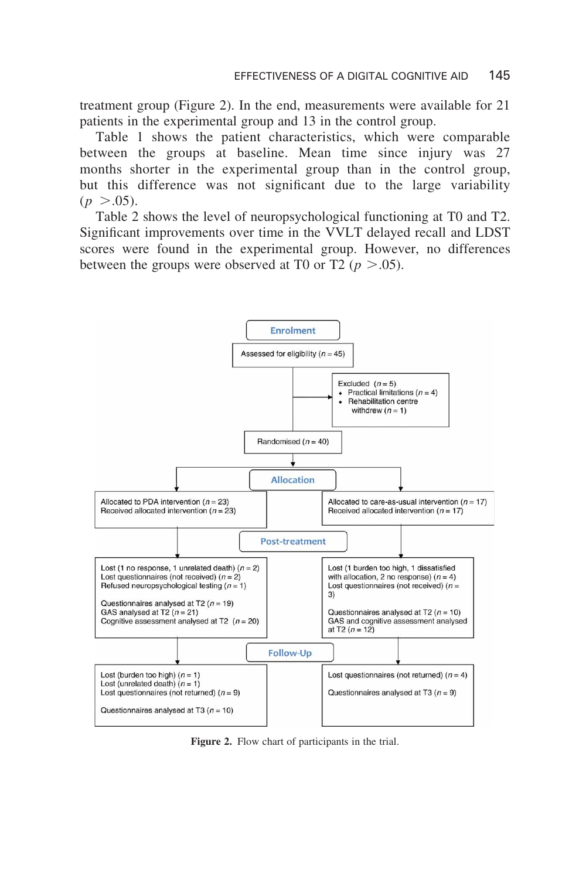treatment group (Figure 2). In the end, measurements were available for 21 patients in the experimental group and 13 in the control group.

Table 1 shows the patient characteristics, which were comparable between the groups at baseline. Mean time since injury was 27 months shorter in the experimental group than in the control group, but this difference was not significant due to the large variability  $(p > .05)$ .

Table 2 shows the level of neuropsychological functioning at T0 and T2. Significant improvements over time in the VVLT delayed recall and LDST scores were found in the experimental group. However, no differences between the groups were observed at T0 or T2 ( $p > .05$ ).



Figure 2. Flow chart of participants in the trial.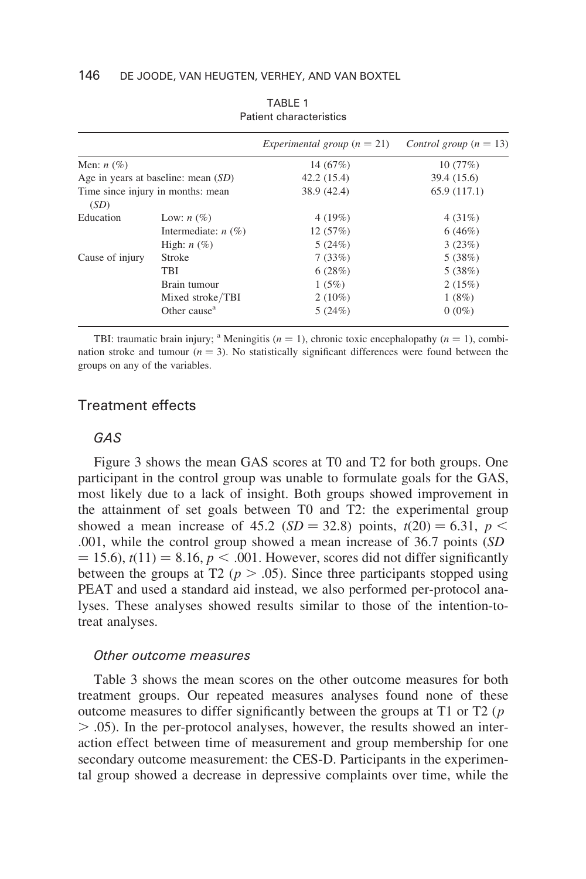|                                       |                                   | Experimental group $(n = 21)$ | Control group $(n = 13)$ |  |  |
|---------------------------------------|-----------------------------------|-------------------------------|--------------------------|--|--|
| Men: $n$ (%)                          |                                   | 14 (67%)                      | 10(77%)                  |  |  |
| Age in years at baseline: mean $(SD)$ |                                   | 42.2(15.4)                    | 39.4 (15.6)              |  |  |
| (SD)                                  | Time since injury in months: mean | 38.9 (42.4)                   | 65.9 (117.1)             |  |  |
| Education                             | Low: $n(\%)$                      | 4(19%)                        | 4(31%)                   |  |  |
|                                       | Intermediate: $n$ (%)             | 12(57%)                       | 6(46%)                   |  |  |
|                                       | High: $n$ $(\%)$                  | 5(24%)                        | 3(23%)                   |  |  |
| Cause of injury                       | Stroke                            | 7(33%)                        | 5(38%)                   |  |  |
|                                       | TBI                               | 6(28%)                        | 5(38%)                   |  |  |
|                                       | Brain tumour                      | 1(5%)                         | 2(15%)                   |  |  |
|                                       | Mixed stroke/TBI                  | $2(10\%)$                     | 1(8%)                    |  |  |
|                                       | Other cause <sup>a</sup>          | 5(24%)                        | $0(0\%)$                 |  |  |

TABLE 1 Patient characteristics

TBI: traumatic brain injury; <sup>a</sup> Meningitis ( $n = 1$ ), chronic toxic encephalopathy ( $n = 1$ ), combination stroke and tumour  $(n = 3)$ . No statistically significant differences were found between the groups on any of the variables.

#### Treatment effects

#### GAS

Figure 3 shows the mean GAS scores at T0 and T2 for both groups. One participant in the control group was unable to formulate goals for the GAS, most likely due to a lack of insight. Both groups showed improvement in the attainment of set goals between T0 and T2: the experimental group showed a mean increase of 45.2 ( $SD = 32.8$ ) points,  $t(20) = 6.31$ ,  $p <$ .001, while the control group showed a mean increase of 36.7 points (SD  $(15.6)$ ,  $t(11) = 8.16$ ,  $p < .001$ . However, scores did not differ significantly between the groups at T2 ( $p > .05$ ). Since three participants stopped using PEAT and used a standard aid instead, we also performed per-protocol analyses. These analyses showed results similar to those of the intention-totreat analyses.

#### Other outcome measures

Table 3 shows the mean scores on the other outcome measures for both treatment groups. Our repeated measures analyses found none of these outcome measures to differ significantly between the groups at T1 or T2  $(p)$  $>$  0.05). In the per-protocol analyses, however, the results showed an interaction effect between time of measurement and group membership for one secondary outcome measurement: the CES-D. Participants in the experimental group showed a decrease in depressive complaints over time, while the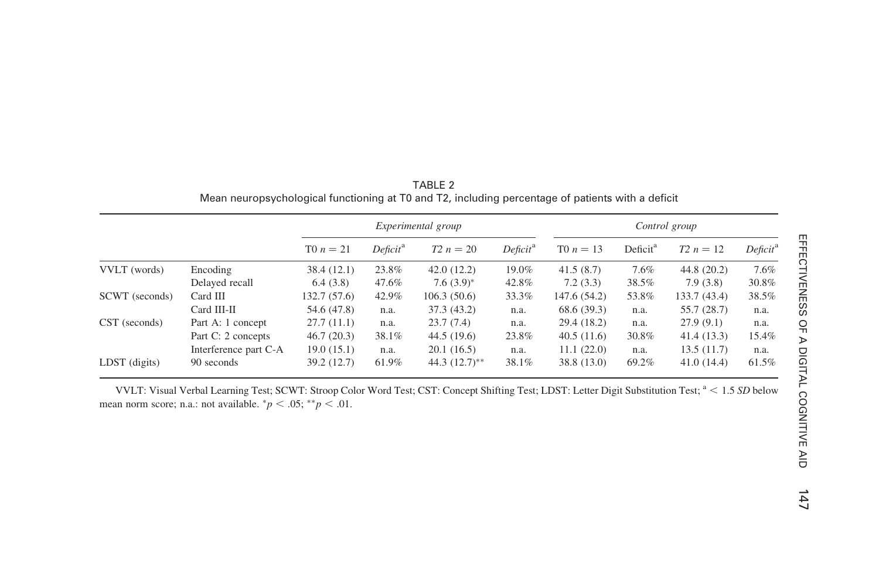|                |                       | Experimental group |                      |                             |                      | Control group |                      |             |                      |
|----------------|-----------------------|--------------------|----------------------|-----------------------------|----------------------|---------------|----------------------|-------------|----------------------|
|                |                       | $T0 n = 21$        | Deficit <sup>a</sup> | $T2 n = 20$                 | Deficit <sup>a</sup> | $T0 n = 13$   | Deficit <sup>a</sup> | $T2 n = 12$ | Deficit <sup>a</sup> |
| VVLT (words)   | Encoding              | 38.4(12.1)         | 23.8%                | 42.0(12.2)                  | 19.0%                | 41.5(8.7)     | 7.6%                 | 44.8 (20.2) | 7.6%                 |
|                | Delayed recall        | 6.4(3.8)           | 47.6%                | $7.6(3.9)^*$                | 42.8%                | 7.2(3.3)      | 38.5%                | 7.9(3.8)    | 30.8%                |
| SCWT (seconds) | Card III              | 132.7(57.6)        | 42.9%                | 106.3(50.6)                 | 33.3%                | 147.6 (54.2)  | 53.8%                | 133.7(43.4) | 38.5%                |
|                | Card III-II           | 54.6 (47.8)        | n.a.                 | 37.3(43.2)                  | n.a.                 | 68.6 (39.3)   | n.a.                 | 55.7 (28.7) | n.a.                 |
| CST (seconds)  | Part A: 1 concept     | 27.7(11.1)         | n.a.                 | 23.7(7.4)                   | n.a.                 | 29.4 (18.2)   | n.a.                 | 27.9(9.1)   | n.a.                 |
|                | Part C: 2 concepts    | 46.7(20.3)         | 38.1%                | 44.5(19.6)                  | 23.8%                | 40.5(11.6)    | 30.8%                | 41.4(13.3)  | 15.4%                |
|                | Interference part C-A | 19.0(15.1)         | n.a.                 | 20.1(16.5)                  | n.a.                 | 11.1(22.0)    | n.a.                 | 13.5(11.7)  | n.a.                 |
| LDST (digits)  | 90 seconds            | 39.2 (12.7)        | 61.9%                | 44.3 $(12.7)$ <sup>**</sup> | 38.1%                | 38.8 (13.0)   | 69.2%                | 41.0(14.4)  | 61.5%                |

TABLE 2Mean neuropsychological functioning at T0 and T2, including percentage of patients with <sup>a</sup> deficit

VVLT: Visual Verbal Learning Test; SCWT: Stroop Color Word Test; CST: Concept Shifting Test; LDST: Letter Digit Substitution Test; <sup>a</sup> < 1.5 SD below mean norm score; n.a.: not available.  ${}^*p < .05;$  \* ${}^*p < .01$ .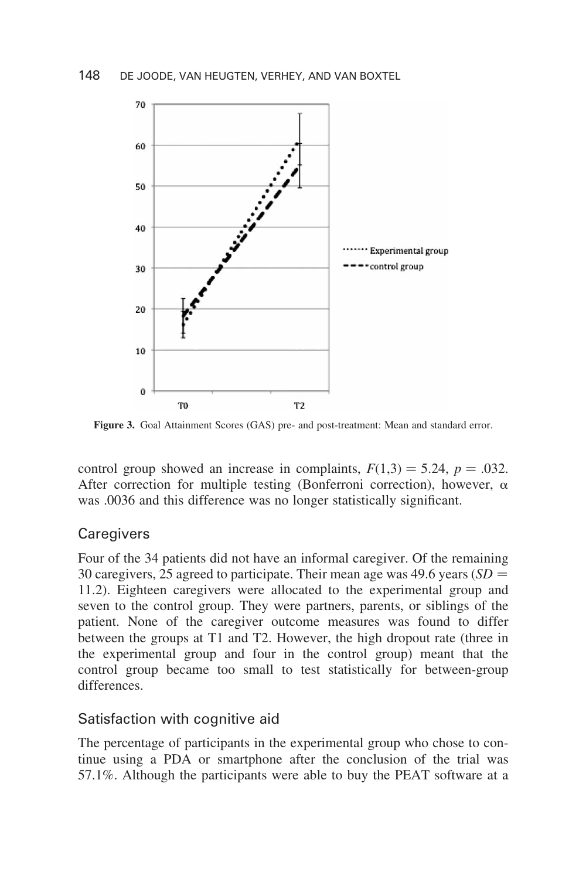

Figure 3. Goal Attainment Scores (GAS) pre- and post-treatment: Mean and standard error.

control group showed an increase in complaints,  $F(1,3) = 5.24$ ,  $p = .032$ . After correction for multiple testing (Bonferroni correction), however,  $\alpha$ was .0036 and this difference was no longer statistically significant.

#### **Caregivers**

Four of the 34 patients did not have an informal caregiver. Of the remaining 30 caregivers, 25 agreed to participate. Their mean age was 49.6 years ( $SD =$ 11.2). Eighteen caregivers were allocated to the experimental group and seven to the control group. They were partners, parents, or siblings of the patient. None of the caregiver outcome measures was found to differ between the groups at T1 and T2. However, the high dropout rate (three in the experimental group and four in the control group) meant that the control group became too small to test statistically for between-group differences.

#### Satisfaction with cognitive aid

The percentage of participants in the experimental group who chose to continue using a PDA or smartphone after the conclusion of the trial was 57.1%. Although the participants were able to buy the PEAT software at a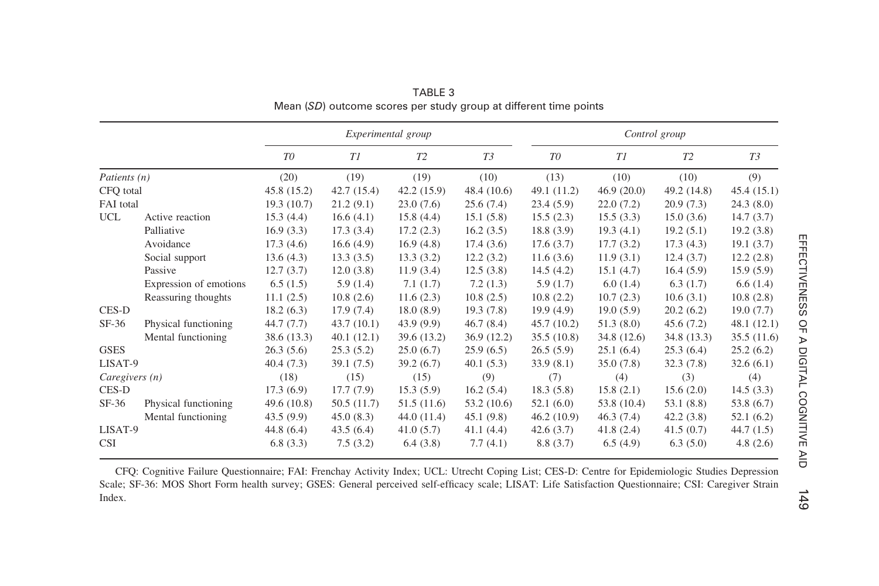|                  |                        | Experimental group |            |             | Control group  |                |             |             |             |
|------------------|------------------------|--------------------|------------|-------------|----------------|----------------|-------------|-------------|-------------|
|                  |                        | T <sub>0</sub>     | T1         | T2          | T <sub>3</sub> | T <sub>0</sub> | T1          | T2          | T3          |
| Patients (n)     |                        | (20)               | (19)       | (19)        | (10)           | (13)           | (10)        | (10)        | (9)         |
| CFQ total        |                        | 45.8 (15.2)        | 42.7(15.4) | 42.2(15.9)  | 48.4 (10.6)    | 49.1 (11.2)    | 46.9(20.0)  | 49.2 (14.8) | 45.4(15.1)  |
| FAI total        |                        | 19.3(10.7)         | 21.2(9.1)  | 23.0(7.6)   | 25.6(7.4)      | 23.4(5.9)      | 22.0(7.2)   | 20.9(7.3)   | 24.3(8.0)   |
| <b>UCL</b>       | Active reaction        | 15.3(4.4)          | 16.6(4.1)  | 15.8(4.4)   | 15.1(5.8)      | 15.5(2.3)      | 15.5(3.3)   | 15.0(3.6)   | 14.7(3.7)   |
|                  | Palliative             | 16.9(3.3)          | 17.3(3.4)  | 17.2(2.3)   | 16.2(3.5)      | 18.8(3.9)      | 19.3(4.1)   | 19.2(5.1)   | 19.2(3.8)   |
|                  | Avoidance              | 17.3(4.6)          | 16.6(4.9)  | 16.9(4.8)   | 17.4(3.6)      | 17.6(3.7)      | 17.7(3.2)   | 17.3(4.3)   | 19.1(3.7)   |
|                  | Social support         | 13.6(4.3)          | 13.3(3.5)  | 13.3(3.2)   | 12.2(3.2)      | 11.6(3.6)      | 11.9(3.1)   | 12.4(3.7)   | 12.2(2.8)   |
|                  | Passive                | 12.7(3.7)          | 12.0(3.8)  | 11.9(3.4)   | 12.5(3.8)      | 14.5(4.2)      | 15.1(4.7)   | 16.4(5.9)   | 15.9(5.9)   |
|                  | Expression of emotions | 6.5(1.5)           | 5.9(1.4)   | 7.1(1.7)    | 7.2(1.3)       | 5.9(1.7)       | 6.0(1.4)    | 6.3(1.7)    | 6.6(1.4)    |
|                  | Reassuring thoughts    | 11.1(2.5)          | 10.8(2.6)  | 11.6(2.3)   | 10.8(2.5)      | 10.8(2.2)      | 10.7(2.3)   | 10.6(3.1)   | 10.8(2.8)   |
| CES-D            |                        | 18.2(6.3)          | 17.9(7.4)  | 18.0(8.9)   | 19.3(7.8)      | 19.9(4.9)      | 19.0(5.9)   | 20.2(6.2)   | 19.0(7.7)   |
| SF-36            | Physical functioning   | 44.7(7.7)          | 43.7(10.1) | 43.9(9.9)   | 46.7(8.4)      | 45.7(10.2)     | 51.3(8.0)   | 45.6(7.2)   | 48.1(12.1)  |
|                  | Mental functioning     | 38.6 (13.3)        | 40.1(12.1) | 39.6 (13.2) | 36.9(12.2)     | 35.5(10.8)     | 34.8 (12.6) | 34.8 (13.3) | 35.5(11.6)  |
| <b>GSES</b>      |                        | 26.3(5.6)          | 25.3(5.2)  | 25.0(6.7)   | 25.9(6.5)      | 26.5(5.9)      | 25.1(6.4)   | 25.3(6.4)   | 25.2(6.2)   |
| LISAT-9          |                        | 40.4(7.3)          | 39.1(7.5)  | 39.2(6.7)   | 40.1(5.3)      | 33.9(8.1)      | 35.0(7.8)   | 32.3(7.8)   | 32.6(6.1)   |
| Caregivers $(n)$ |                        | (18)               | (15)       | (15)        | (9)            | (7)            | (4)         | (3)         | (4)         |
| CES-D            |                        | 17.3(6.9)          | 17.7(7.9)  | 15.3(5.9)   | 16.2(5.4)      | 18.3(5.8)      | 15.8(2.1)   | 15.6(2.0)   | 14.5(3.3)   |
| $SF-36$          | Physical functioning   | 49.6(10.8)         | 50.5(11.7) | 51.5(11.6)  | 53.2(10.6)     | 52.1(6.0)      | 53.8 (10.4) | 53.1(8.8)   | 53.8 (6.7)  |
|                  | Mental functioning     | 43.5(9.9)          | 45.0(8.3)  | 44.0(11.4)  | 45.1(9.8)      | 46.2(10.9)     | 46.3(7.4)   | 42.2(3.8)   | 52.1(6.2)   |
| LISAT-9          |                        | 44.8 $(6.4)$       | 43.5(6.4)  | 41.0(5.7)   | 41.1(4.4)      | 42.6(3.7)      | 41.8(2.4)   | 41.5(0.7)   | 44.7(1.5)   |
| <b>CSI</b>       |                        | 6.8(3.3)           | 7.5(3.2)   | 6.4(3.8)    | 7.7(4.1)       | 8.8(3.7)       | 6.5(4.9)    | 6.3(5.0)    | 4.8 $(2.6)$ |

TABLE 3 Mean (SD) outcome scores per study group at different time points

CFQ: Cognitive Failure Questionnaire; FAI: Frenchay Activity Index; UCL: Utrecht Coping List; CES-D: Centre for Epidemiologic Studies Depression Scale; SF-36: MOS Short Form health survey; GSES: General perceived self-efficacy scale; LISAT: Life Satisfaction Questionnaire; CSI: Caregiver Strain Index.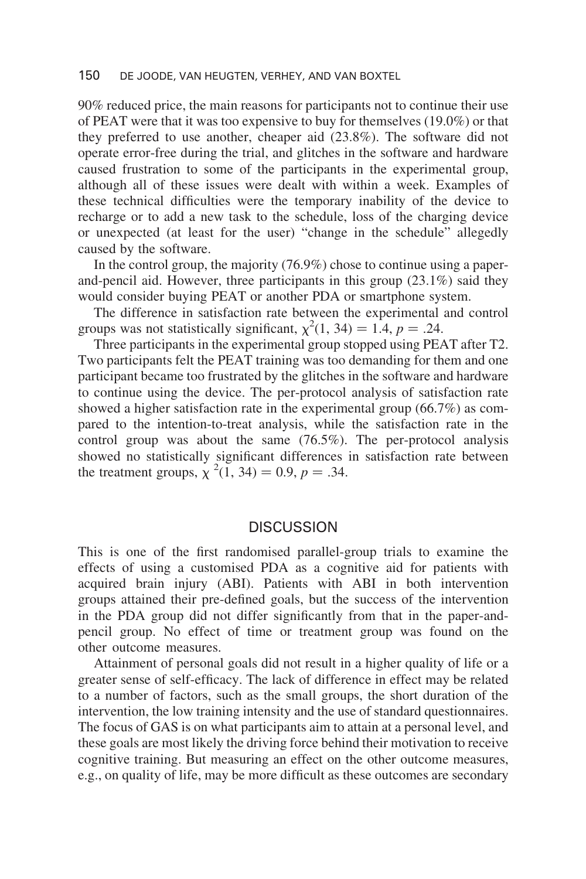90% reduced price, the main reasons for participants not to continue their use of PEAT were that it was too expensive to buy for themselves (19.0%) or that they preferred to use another, cheaper aid (23.8%). The software did not operate error-free during the trial, and glitches in the software and hardware caused frustration to some of the participants in the experimental group, although all of these issues were dealt with within a week. Examples of these technical difficulties were the temporary inability of the device to recharge or to add a new task to the schedule, loss of the charging device or unexpected (at least for the user) "change in the schedule" allegedly caused by the software.

In the control group, the majority (76.9%) chose to continue using a paperand-pencil aid. However, three participants in this group (23.1%) said they would consider buying PEAT or another PDA or smartphone system.

The difference in satisfaction rate between the experimental and control groups was not statistically significant,  $\chi^2(1, 34) = 1.4$ ,  $p = .24$ .

Three participants in the experimental group stopped using PEAT after T2. Two participants felt the PEAT training was too demanding for them and one participant became too frustrated by the glitches in the software and hardware to continue using the device. The per-protocol analysis of satisfaction rate showed a higher satisfaction rate in the experimental group (66.7%) as compared to the intention-to-treat analysis, while the satisfaction rate in the control group was about the same (76.5%). The per-protocol analysis showed no statistically significant differences in satisfaction rate between the treatment groups,  $\chi^2(1, 34) = 0.9$ ,  $p = .34$ .

#### **DISCUSSION**

This is one of the first randomised parallel-group trials to examine the effects of using a customised PDA as a cognitive aid for patients with acquired brain injury (ABI). Patients with ABI in both intervention groups attained their pre-defined goals, but the success of the intervention in the PDA group did not differ significantly from that in the paper-andpencil group. No effect of time or treatment group was found on the other outcome measures.

Attainment of personal goals did not result in a higher quality of life or a greater sense of self-efficacy. The lack of difference in effect may be related to a number of factors, such as the small groups, the short duration of the intervention, the low training intensity and the use of standard questionnaires. The focus of GAS is on what participants aim to attain at a personal level, and these goals are most likely the driving force behind their motivation to receive cognitive training. But measuring an effect on the other outcome measures, e.g., on quality of life, may be more difficult as these outcomes are secondary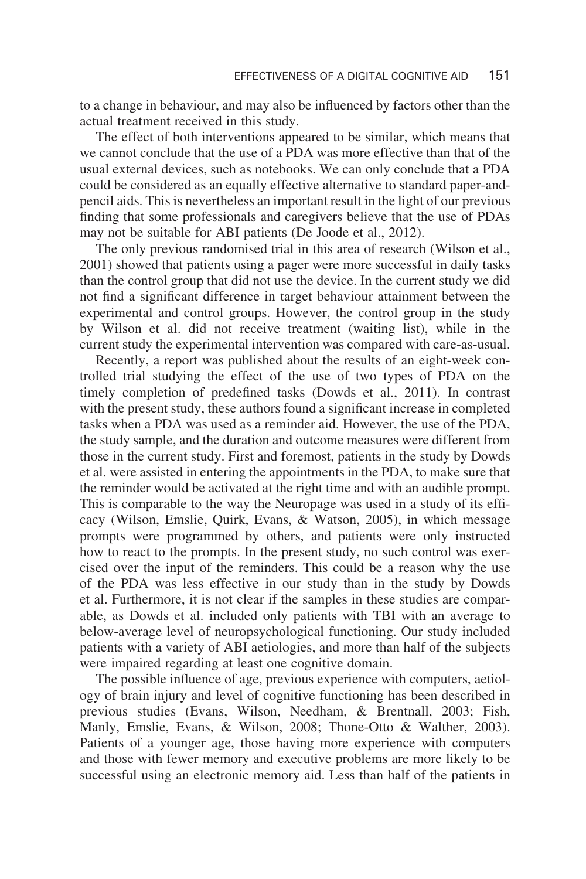to a change in behaviour, and may also be influenced by factors other than the actual treatment received in this study.

The effect of both interventions appeared to be similar, which means that we cannot conclude that the use of a PDA was more effective than that of the usual external devices, such as notebooks. We can only conclude that a PDA could be considered as an equally effective alternative to standard paper-andpencil aids. This is nevertheless an important result in the light of our previous finding that some professionals and caregivers believe that the use of PDAs may not be suitable for ABI patients (De Joode et al., 2012).

The only previous randomised trial in this area of research (Wilson et al., 2001) showed that patients using a pager were more successful in daily tasks than the control group that did not use the device. In the current study we did not find a significant difference in target behaviour attainment between the experimental and control groups. However, the control group in the study by Wilson et al. did not receive treatment (waiting list), while in the current study the experimental intervention was compared with care-as-usual.

Recently, a report was published about the results of an eight-week controlled trial studying the effect of the use of two types of PDA on the timely completion of predefined tasks (Dowds et al., 2011). In contrast with the present study, these authors found a significant increase in completed tasks when a PDA was used as a reminder aid. However, the use of the PDA, the study sample, and the duration and outcome measures were different from those in the current study. First and foremost, patients in the study by Dowds et al. were assisted in entering the appointments in the PDA, to make sure that the reminder would be activated at the right time and with an audible prompt. This is comparable to the way the Neuropage was used in a study of its efficacy (Wilson, Emslie, Quirk, Evans, & Watson, 2005), in which message prompts were programmed by others, and patients were only instructed how to react to the prompts. In the present study, no such control was exercised over the input of the reminders. This could be a reason why the use of the PDA was less effective in our study than in the study by Dowds et al. Furthermore, it is not clear if the samples in these studies are comparable, as Dowds et al. included only patients with TBI with an average to below-average level of neuropsychological functioning. Our study included patients with a variety of ABI aetiologies, and more than half of the subjects were impaired regarding at least one cognitive domain.

The possible influence of age, previous experience with computers, aetiology of brain injury and level of cognitive functioning has been described in previous studies (Evans, Wilson, Needham, & Brentnall, 2003; Fish, Manly, Emslie, Evans, & Wilson, 2008; Thone-Otto & Walther, 2003). Patients of a younger age, those having more experience with computers and those with fewer memory and executive problems are more likely to be successful using an electronic memory aid. Less than half of the patients in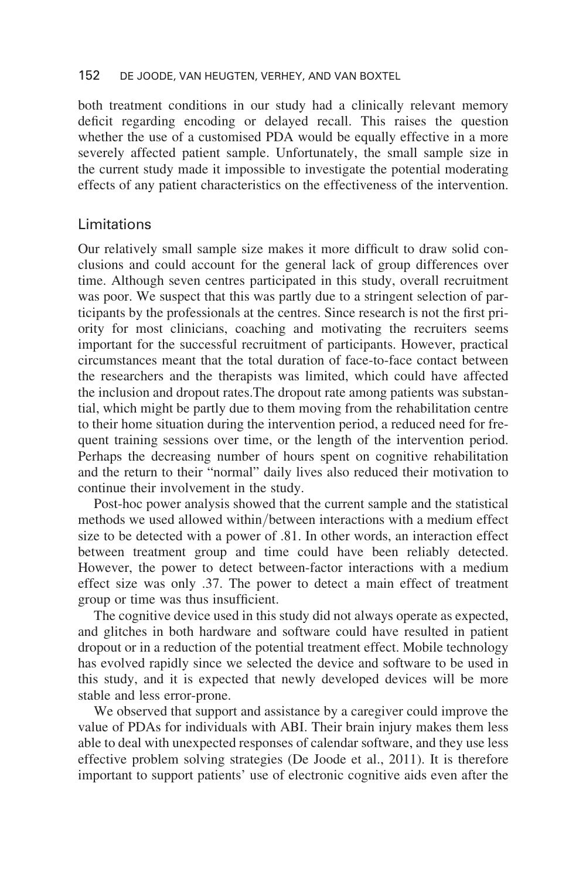both treatment conditions in our study had a clinically relevant memory deficit regarding encoding or delayed recall. This raises the question whether the use of a customised PDA would be equally effective in a more severely affected patient sample. Unfortunately, the small sample size in the current study made it impossible to investigate the potential moderating effects of any patient characteristics on the effectiveness of the intervention.

#### Limitations

Our relatively small sample size makes it more difficult to draw solid conclusions and could account for the general lack of group differences over time. Although seven centres participated in this study, overall recruitment was poor. We suspect that this was partly due to a stringent selection of participants by the professionals at the centres. Since research is not the first priority for most clinicians, coaching and motivating the recruiters seems important for the successful recruitment of participants. However, practical circumstances meant that the total duration of face-to-face contact between the researchers and the therapists was limited, which could have affected the inclusion and dropout rates.The dropout rate among patients was substantial, which might be partly due to them moving from the rehabilitation centre to their home situation during the intervention period, a reduced need for frequent training sessions over time, or the length of the intervention period. Perhaps the decreasing number of hours spent on cognitive rehabilitation and the return to their "normal" daily lives also reduced their motivation to continue their involvement in the study.

Post-hoc power analysis showed that the current sample and the statistical methods we used allowed within/between interactions with a medium effect size to be detected with a power of .81. In other words, an interaction effect between treatment group and time could have been reliably detected. However, the power to detect between-factor interactions with a medium effect size was only .37. The power to detect a main effect of treatment group or time was thus insufficient.

The cognitive device used in this study did not always operate as expected, and glitches in both hardware and software could have resulted in patient dropout or in a reduction of the potential treatment effect. Mobile technology has evolved rapidly since we selected the device and software to be used in this study, and it is expected that newly developed devices will be more stable and less error-prone.

We observed that support and assistance by a caregiver could improve the value of PDAs for individuals with ABI. Their brain injury makes them less able to deal with unexpected responses of calendar software, and they use less effective problem solving strategies (De Joode et al., 2011). It is therefore important to support patients' use of electronic cognitive aids even after the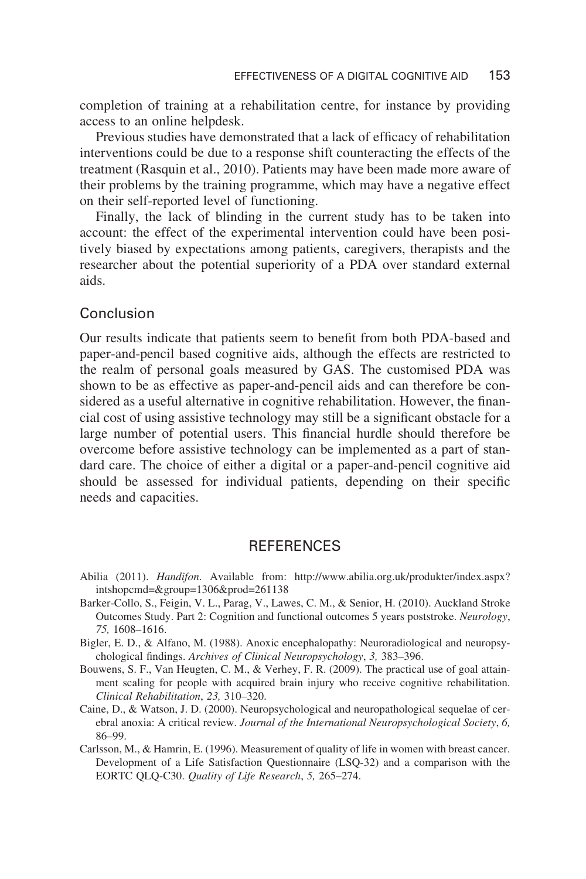completion of training at a rehabilitation centre, for instance by providing access to an online helpdesk.

Previous studies have demonstrated that a lack of efficacy of rehabilitation interventions could be due to a response shift counteracting the effects of the treatment (Rasquin et al., 2010). Patients may have been made more aware of their problems by the training programme, which may have a negative effect on their self-reported level of functioning.

Finally, the lack of blinding in the current study has to be taken into account: the effect of the experimental intervention could have been positively biased by expectations among patients, caregivers, therapists and the researcher about the potential superiority of a PDA over standard external aids.

#### Conclusion

Our results indicate that patients seem to benefit from both PDA-based and paper-and-pencil based cognitive aids, although the effects are restricted to the realm of personal goals measured by GAS. The customised PDA was shown to be as effective as paper-and-pencil aids and can therefore be considered as a useful alternative in cognitive rehabilitation. However, the financial cost of using assistive technology may still be a significant obstacle for a large number of potential users. This financial hurdle should therefore be overcome before assistive technology can be implemented as a part of standard care. The choice of either a digital or a paper-and-pencil cognitive aid should be assessed for individual patients, depending on their specific needs and capacities.

#### **REFERENCES**

- Abilia (2011). Handifon. Available from: [http://www.abilia.org.uk/produkter/index.aspx?](http://www.abilia.org.uk/produkter/index.aspx?intshopcmd=&group=1306&prod=261138) [intshopcmd=&group=1306&prod=261138](http://www.abilia.org.uk/produkter/index.aspx?intshopcmd=&group=1306&prod=261138)
- Barker-Collo, S., Feigin, V. L., Parag, V., Lawes, C. M., & Senior, H. (2010). Auckland Stroke Outcomes Study. Part 2: Cognition and functional outcomes 5 years poststroke. Neurology, 75, 1608–1616.
- Bigler, E. D., & Alfano, M. (1988). Anoxic encephalopathy: Neuroradiological and neuropsychological findings. Archives of Clinical Neuropsychology, 3, 383–396.
- Bouwens, S. F., Van Heugten, C. M., & Verhey, F. R. (2009). The practical use of goal attainment scaling for people with acquired brain injury who receive cognitive rehabilitation. Clinical Rehabilitation, 23, 310–320.
- Caine, D., & Watson, J. D. (2000). Neuropsychological and neuropathological sequelae of cerebral anoxia: A critical review. Journal of the International Neuropsychological Society, 6, 86–99.
- Carlsson, M., & Hamrin, E. (1996). Measurement of quality of life in women with breast cancer. Development of a Life Satisfaction Questionnaire (LSQ-32) and a comparison with the EORTC QLQ-C30. Quality of Life Research, 5, 265–274.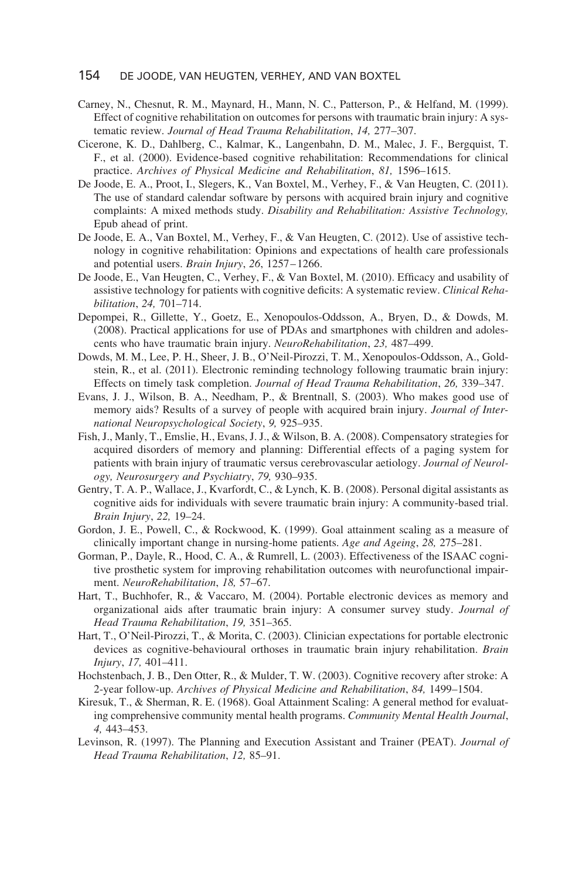- Carney, N., Chesnut, R. M., Maynard, H., Mann, N. C., Patterson, P., & Helfand, M. (1999). Effect of cognitive rehabilitation on outcomes for persons with traumatic brain injury: A systematic review. Journal of Head Trauma Rehabilitation, 14, 277–307.
- Cicerone, K. D., Dahlberg, C., Kalmar, K., Langenbahn, D. M., Malec, J. F., Bergquist, T. F., et al. (2000). Evidence-based cognitive rehabilitation: Recommendations for clinical practice. Archives of Physical Medicine and Rehabilitation, 81, 1596–1615.
- De Joode, E. A., Proot, I., Slegers, K., Van Boxtel, M., Verhey, F., & Van Heugten, C. (2011). The use of standard calendar software by persons with acquired brain injury and cognitive complaints: A mixed methods study. Disability and Rehabilitation: Assistive Technology, Epub ahead of print.
- De Joode, E. A., Van Boxtel, M., Verhey, F., & Van Heugten, C. (2012). Use of assistive technology in cognitive rehabilitation: Opinions and expectations of health care professionals and potential users. Brain Injury, 26, 1257 – 1266.
- De Joode, E., Van Heugten, C., Verhey, F., & Van Boxtel, M. (2010). Efficacy and usability of assistive technology for patients with cognitive deficits: A systematic review. Clinical Rehabilitation, 24, 701–714.
- Depompei, R., Gillette, Y., Goetz, E., Xenopoulos-Oddsson, A., Bryen, D., & Dowds, M. (2008). Practical applications for use of PDAs and smartphones with children and adolescents who have traumatic brain injury. NeuroRehabilitation, 23, 487–499.
- Dowds, M. M., Lee, P. H., Sheer, J. B., O'Neil-Pirozzi, T. M., Xenopoulos-Oddsson, A., Goldstein, R., et al. (2011). Electronic reminding technology following traumatic brain injury: Effects on timely task completion. Journal of Head Trauma Rehabilitation, 26, 339–347.
- Evans, J. J., Wilson, B. A., Needham, P., & Brentnall, S. (2003). Who makes good use of memory aids? Results of a survey of people with acquired brain injury. Journal of International Neuropsychological Society, 9, 925–935.
- Fish, J., Manly, T., Emslie, H., Evans, J. J., & Wilson, B. A. (2008). Compensatory strategies for acquired disorders of memory and planning: Differential effects of a paging system for patients with brain injury of traumatic versus cerebrovascular aetiology. Journal of Neurology, Neurosurgery and Psychiatry, 79, 930–935.
- Gentry, T. A. P., Wallace, J., Kvarfordt, C., & Lynch, K. B. (2008). Personal digital assistants as cognitive aids for individuals with severe traumatic brain injury: A community-based trial. Brain Injury, 22, 19–24.
- Gordon, J. E., Powell, C., & Rockwood, K. (1999). Goal attainment scaling as a measure of clinically important change in nursing-home patients. Age and Ageing, 28, 275–281.
- Gorman, P., Dayle, R., Hood, C. A., & Rumrell, L. (2003). Effectiveness of the ISAAC cognitive prosthetic system for improving rehabilitation outcomes with neurofunctional impairment. NeuroRehabilitation, 18, 57–67.
- Hart, T., Buchhofer, R., & Vaccaro, M. (2004). Portable electronic devices as memory and organizational aids after traumatic brain injury: A consumer survey study. Journal of Head Trauma Rehabilitation, 19, 351–365.
- Hart, T., O'Neil-Pirozzi, T., & Morita, C. (2003). Clinician expectations for portable electronic devices as cognitive-behavioural orthoses in traumatic brain injury rehabilitation. Brain Injury, 17, 401–411.
- Hochstenbach, J. B., Den Otter, R., & Mulder, T. W. (2003). Cognitive recovery after stroke: A 2-year follow-up. Archives of Physical Medicine and Rehabilitation, 84, 1499–1504.
- Kiresuk, T., & Sherman, R. E. (1968). Goal Attainment Scaling: A general method for evaluating comprehensive community mental health programs. Community Mental Health Journal, 4, 443–453.
- Levinson, R. (1997). The Planning and Execution Assistant and Trainer (PEAT). Journal of Head Trauma Rehabilitation, 12, 85–91.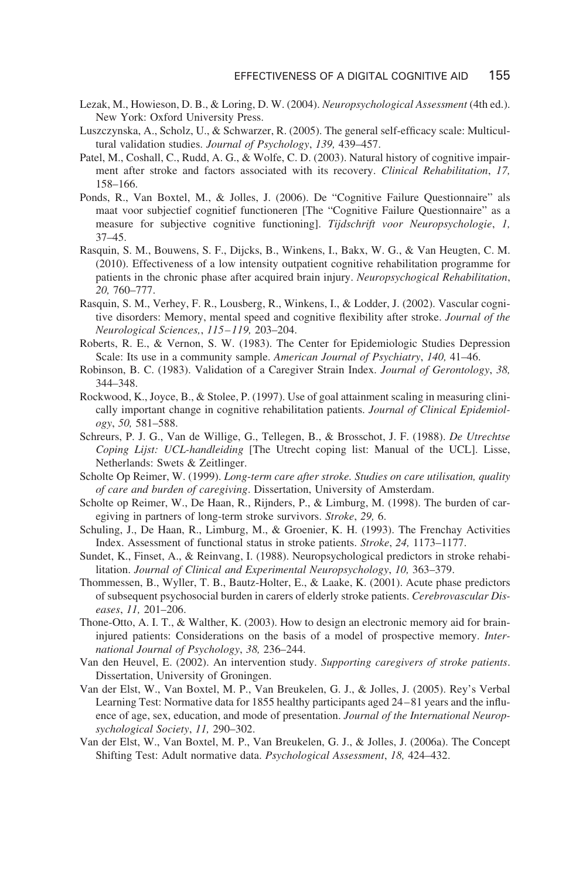- Lezak, M., Howieson, D. B., & Loring, D. W. (2004). Neuropsychological Assessment (4th ed.). New York: Oxford University Press.
- Luszczynska, A., Scholz, U., & Schwarzer, R. (2005). The general self-efficacy scale: Multicultural validation studies. Journal of Psychology, 139, 439–457.
- Patel, M., Coshall, C., Rudd, A. G., & Wolfe, C. D. (2003). Natural history of cognitive impairment after stroke and factors associated with its recovery. Clinical Rehabilitation, 17, 158–166.
- Ponds, R., Van Boxtel, M., & Jolles, J. (2006). De "Cognitive Failure Questionnaire" als maat voor subjectief cognitief functioneren [The "Cognitive Failure Questionnaire" as a measure for subjective cognitive functioning]. Tijdschrift voor Neuropsychologie, 1, 37–45.
- Rasquin, S. M., Bouwens, S. F., Dijcks, B., Winkens, I., Bakx, W. G., & Van Heugten, C. M. (2010). Effectiveness of a low intensity outpatient cognitive rehabilitation programme for patients in the chronic phase after acquired brain injury. Neuropsychogical Rehabilitation, 20, 760–777.
- Rasquin, S. M., Verhey, F. R., Lousberg, R., Winkens, I., & Lodder, J. (2002). Vascular cognitive disorders: Memory, mental speed and cognitive flexibility after stroke. Journal of the Neurological Sciences,, 115 – 119, 203–204.
- Roberts, R. E., & Vernon, S. W. (1983). The Center for Epidemiologic Studies Depression Scale: Its use in a community sample. American Journal of Psychiatry, 140, 41–46.
- Robinson, B. C. (1983). Validation of a Caregiver Strain Index. Journal of Gerontology, 38, 344–348.
- Rockwood, K., Joyce, B., & Stolee, P. (1997). Use of goal attainment scaling in measuring clinically important change in cognitive rehabilitation patients. Journal of Clinical Epidemiology, 50, 581–588.
- Schreurs, P. J. G., Van de Willige, G., Tellegen, B., & Brosschot, J. F. (1988). De Utrechtse Coping Lijst: UCL-handleiding [The Utrecht coping list: Manual of the UCL]. Lisse, Netherlands: Swets & Zeitlinger.
- Scholte Op Reimer, W. (1999). Long-term care after stroke. Studies on care utilisation, quality of care and burden of caregiving. Dissertation, University of Amsterdam.
- Scholte op Reimer, W., De Haan, R., Rijnders, P., & Limburg, M. (1998). The burden of caregiving in partners of long-term stroke survivors. Stroke, 29, 6.
- Schuling, J., De Haan, R., Limburg, M., & Groenier, K. H. (1993). The Frenchay Activities Index. Assessment of functional status in stroke patients. Stroke, 24, 1173–1177.
- Sundet, K., Finset, A., & Reinvang, I. (1988). Neuropsychological predictors in stroke rehabilitation. Journal of Clinical and Experimental Neuropsychology, 10, 363–379.
- Thommessen, B., Wyller, T. B., Bautz-Holter, E., & Laake, K. (2001). Acute phase predictors of subsequent psychosocial burden in carers of elderly stroke patients. Cerebrovascular Diseases, 11, 201–206.
- Thone-Otto, A. I. T., & Walther, K. (2003). How to design an electronic memory aid for braininjured patients: Considerations on the basis of a model of prospective memory. International Journal of Psychology, 38, 236–244.
- Van den Heuvel, E. (2002). An intervention study. Supporting caregivers of stroke patients. Dissertation, University of Groningen.
- Van der Elst, W., Van Boxtel, M. P., Van Breukelen, G. J., & Jolles, J. (2005). Rey's Verbal Learning Test: Normative data for 1855 healthy participants aged 24 – 81 years and the influence of age, sex, education, and mode of presentation. Journal of the International Neuropsychological Society, 11, 290–302.
- Van der Elst, W., Van Boxtel, M. P., Van Breukelen, G. J., & Jolles, J. (2006a). The Concept Shifting Test: Adult normative data. Psychological Assessment, 18, 424–432.